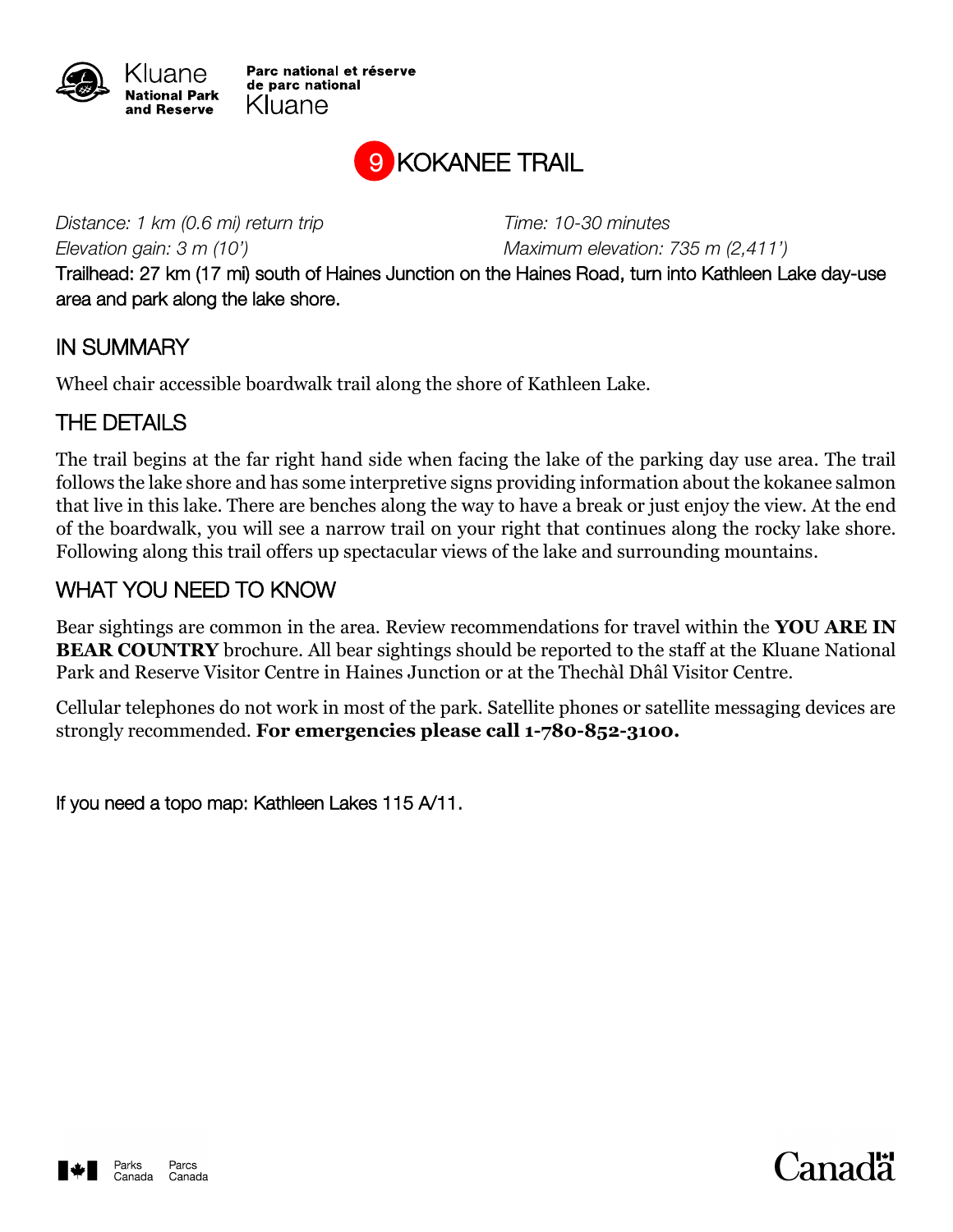

Parc national et réserve de parc national Kluane



*Distance: 1 km (0.6 mi) return trip Time: 10-30 minutes*

*Elevation gain: 3 m (10') Maximum elevation: 735 m (2,411')*

Trailhead: 27 km (17 mi) south of Haines Junction on the Haines Road, turn into Kathleen Lake day-use area and park along the lake shore.

## IN SUMMARY

Wheel chair accessible boardwalk trail along the shore of Kathleen Lake.

## THE DETAILS

The trail begins at the far right hand side when facing the lake of the parking day use area. The trail follows the lake shore and has some interpretive signs providing information about the kokanee salmon that live in this lake. There are benches along the way to have a break or just enjoy the view. At the end of the boardwalk, you will see a narrow trail on your right that continues along the rocky lake shore. Following along this trail offers up spectacular views of the lake and surrounding mountains.

## WHAT YOU NEED TO KNOW

Bear sightings are common in the area. Review recommendations for travel within the **YOU ARE IN BEAR COUNTRY** brochure. All bear sightings should be reported to the staff at the Kluane National Park and Reserve Visitor Centre in Haines Junction or at the Thechàl Dhâl Visitor Centre.

Cellular telephones do not work in most of the park. Satellite phones or satellite messaging devices are strongly recommended. **For emergencies please call 1-780-852-3100.**

If you need a topo map: Kathleen Lakes 115 A/11.